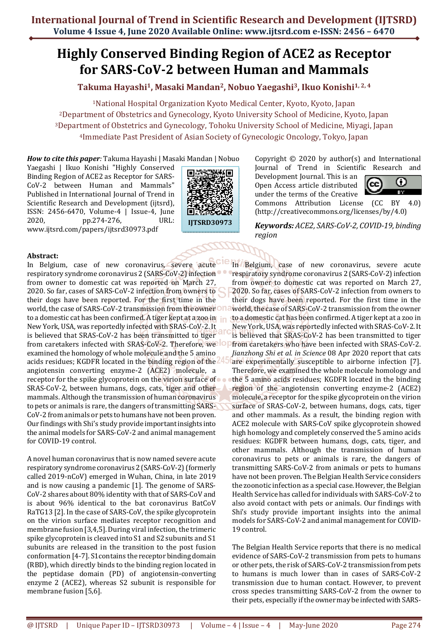# **Highly Conserved Binding Region of ACE2 as Receptor for SARS-CoV-2 between Human and Mammals**

## **Takuma Hayashi1, Masaki Mandan2, Nobuo Yaegashi3, Ikuo Konishi1, 2, 4**

National Hospital Organization Kyoto Medical Center, Kyoto, Kyoto, Japan Department of Obstetrics and Gynecology, Kyoto University School of Medicine, Kyoto, Japan Department of Obstetrics and Gynecology, Tohoku University School of Medicine, Miyagi, Japan Immediate Past President of Asian Society of Gynecologic Oncology, Tokyo, Japan

*How to cite this paper:* Takuma Hayashi | Masaki Mandan | Nobuo

Yaegashi | Ikuo Konishi "Highly Conserved Binding Region of ACE2 as Receptor for SARS-CoV-2 between Human and Mammals" Published in International Journal of Trend in Scientific Research and Development (ijtsrd). ISSN: 2456-6470, Volume-4 | Issue-4, June 2020, pp.274-276, URL: www.ijtsrd.com/papers/ijtsrd30973.pdf



Copyright © 2020 by author(s) and International Journal of Trend in Scientific Research and

Development Journal. This is an  $\left[\widehat{\text{cc}}\right]$ Open Access article distributed under the terms of the Creative



Commons Attribution License (CC BY 4.0) (http://creativecommons.org/licenses/by/4.0)

#### **Abstract:**

In Belgium, case of new coronavirus, severe acute respiratory syndrome coronavirus 2 (SARS-CoV-2) infection from owner to domestic cat was reported on March 27, 2020. So far, cases of SARS-CoV-2 infection from owners to their dogs have been reported. For the first time in the world, the case of SARS-CoV-2 transmission from the owner to a domestic cat has been confirmed. A tiger kept at a zoo in in New York, USA, was reportedly infected with SRAS-CoV-2. It is believed that SRAS-CoV-2 has been transmitted to tiger from caretakers infected with SRAS-CoV-2. Therefore, we examined the homology of whole molecule and the 5 amino acids residues; KGDFR located in the binding region of the angiotensin converting enzyme-2 (ACE2) molecule, a receptor for the spike glycoprotein on the virion surface of SRAS-CoV-2, between humans, dogs, cats, tiger and other mammals. Although the transmission of human coronavirus to pets or animals is rare, the dangers of transmitting SARS-CoV-2 from animals or pets to humans have not been proven. Our findings with Shi's study provide important insights into the animal models for SARS-CoV-2 and animal management for COVID-19 control.

A novel human coronavirus that is now named severe acute respiratory syndrome coronavirus 2 (SARS-CoV-2) (formerly called 2019-nCoV) emerged in Wuhan, China, in late 2019 and is now causing a pandemic [1]. The genome of SARS-CoV-2 shares about 80% identity with that of SARS-CoV and is about 96% identical to the bat coronavirus BatCoV RaTG13 [2]. In the case of SARS-CoV, the spike glycoprotein on the virion surface mediates receptor recognition and membrane fusion [3,4,5]. During viral infection, the trimeric spike glycoprotein is cleaved into S1 and S2 subunits and S1 subunits are released in the transition to the post fusion conformation [4-7]. S1contains the receptor binding domain (RBD), which directly binds to the binding region located in the peptidase domain (PD) of angiotensin-converting enzyme 2 (ACE2), whereas S2 subunit is responsible for membrane fusion [5,6].

*Keywords: ACE2, SARS-CoV-2, COVID-19, binding region*

In Belgium, case of new coronavirus, severe acute respiratory syndrome coronavirus 2 (SARS-CoV-2) infection from owner to domestic cat was reported on March 27, 2020. So far, cases of SARS-CoV-2 infection from owners to their dogs have been reported. For the first time in the world, the case of SARS-CoV-2 transmission from the owner to a domestic cat has been confirmed. A tiger kept at a zoo in New York, USA, was reportedly infected with SRAS-CoV-2. It is believed that SRAS-CoV-2 has been transmitted to tiger from caretakers who have been infected with SRAS-CoV-2. *Jianzhong Shi et al. in Science* 08 Apr 2020 report that cats are experimentally susceptible to airborne infection [7]. Therefore, we examined the whole molecule homology and the 5 amino acids residues; KGDFR located in the binding region of the angiotensin converting enzyme-2 (ACE2) molecule, a receptor for the spike glycoprotein on the virion surface of SRAS-CoV-2, between humans, dogs, cats, tiger and other mammals. As a result, the binding region with ACE2 molecule with SARS-CoV spike glycoprotein showed high homology and completely conserved the 5 amino acids residues: KGDFR between humans, dogs, cats, tiger, and other mammals. Although the transmission of human coronavirus to pets or animals is rare, the dangers of transmitting SARS-CoV-2 from animals or pets to humans have not been proven. The Belgian Health Service considers the zoonotic infection as a special case. However, the Belgian Health Service has called for individuals with SARS-CoV-2 to also avoid contact with pets or animals. Our findings with Shi's study provide important insights into the animal models for SARS-CoV-2 and animal management for COVID-19 control.

The Belgian Health Service reports that there is no medical evidence of SARS-CoV-2 transmission from pets to humans or other pets, the risk of SARS-CoV-2 transmission from pets to humans is much lower than in cases of SARS-CoV-2 transmission due to human contact. However, to prevent cross species transmitting SARS-CoV-2 from the owner to their pets, especially if the owner may be infected with SARS-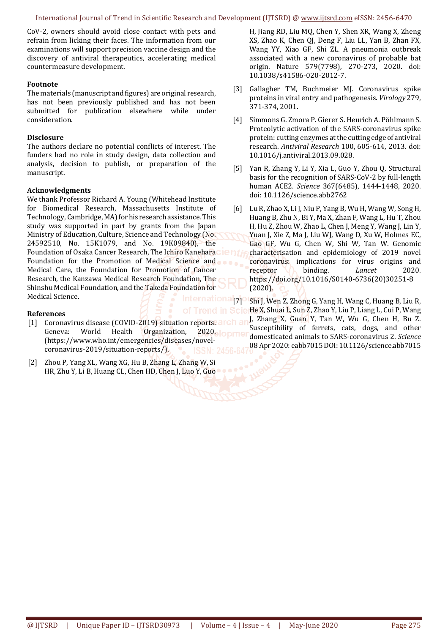International Journal of Trend in Scientific Research and Development (IJTSRD) @ www.ijtsrd.com eISSN: 2456-6470

CoV-2, owners should avoid close contact with pets and refrain from licking their faces. The information from our examinations will support precision vaccine design and the discovery of antiviral therapeutics, accelerating medical countermeasure development.

#### **Footnote**

The materials (manuscript and figures) are original research, has not been previously published and has not been submitted for publication elsewhere while under consideration.

#### **Disclosure**

The authors declare no potential conflicts of interest. The funders had no role in study design, data collection and analysis, decision to publish, or preparation of the manuscript.

#### **Acknowledgments**

We thank Professor Richard A. Young (Whitehead Institute for Biomedical Research, Massachusetts Institute of Technology, Cambridge, MA) for his research assistance. This study was supported in part by grants from the Japan Ministry of Education, Culture, Science and Technology (No. 24592510, No. 15K1079, and No. 19K09840), the Foundation of Osaka Cancer Research, The Ichiro Kanehara Foundation for the Promotion of Medical Science and Medical Care, the Foundation for Promotion of Cancer Research, the Kanzawa Medical Research Foundation, The Shinshu Medical Foundation, and the Takeda Foundation for Medical Science.

### **References**

- [1] Coronavirus disease (COVID-2019) situation reports. arch ar Geneva: World Health Organization, 2020. lopme (https://www.who.int/emergencies/diseases/novelcoronavirus-2019/situation-reports/).
- [2] Zhou P, Yang XL, Wang XG, Hu B, Zhang L, Zhang W, Si HR, Zhu Y, Li B, Huang CL, Chen HD, Chen J, Luo Y, Guo

H, Jiang RD, Liu MQ, Chen Y, Shen XR, Wang X, Zheng XS, Zhao K, Chen QJ, Deng F, Liu LL, Yan B, Zhan FX, Wang YY, Xiao GF, Shi ZL. A pneumonia outbreak associated with a new coronavirus of probable bat origin. Nature 579(7798), 270-273, 2020. doi: 10.1038/s41586-020-2012-7.

- [3] Gallagher TM, Buchmeier MJ. Coronavirus spike proteins in viral entry and pathogenesis. *Virology* 279, 371-374, 2001.
- [4] Simmons G. Zmora P. Gierer S. Heurich A. Pöhlmann S. Proteolytic activation of the SARS-coronavirus spike protein: cutting enzymes at the cutting edge of antiviral research. *Antiviral Research* 100, 605-614, 2013. doi: 10.1016/j.antiviral.2013.09.028.
- [5] Yan R, Zhang Y, Li Y, Xia L, Guo Y, Zhou Q. Structural basis for the recognition of SARS-CoV-2 by full-length human ACE2. *Science* 367(6485), 1444-1448, 2020. doi: 10.1126/science.abb2762
- [6] Lu R, Zhao X, Li J, Niu P, Yang B, Wu H, Wang W, Song H, Huang B, Zhu N, Bi Y, Ma X, Zhan F, Wang L, Hu T, Zhou H, Hu Z, Zhou W, Zhao L, Chen J, Meng Y, Wang J, Lin Y, Yuan J, Xie Z, Ma J, Liu WJ, Wang D, Xu W, Holmes EC, Gao GF, Wu G, Chen W, Shi W, Tan W. Genomic characterisation and epidemiology of 2019 novel coronavirus: implications for virus origins and receptor **binding**. *Lancet* 2020. https://doi.org/10.1016/S0140-6736(20)30251-8 (2020).

International  $770$  Shi J, Wen Z, Zhong G, Yang H, Wang C, Huang B, Liu R, of Trend in ScierHe X, Shuai L, Sun Z, Zhao Y, Liu P, Liang L, Cui P, Wang J, Zhang X, Guan Y, Tan W, Wu G, Chen H, Bu Z. Susceptibility of ferrets, cats, dogs, and other domesticated animals to SARS-coronavirus 2. *Science* 08 Apr 2020: eabb7015 DOI: 10.1126/science.abb7015